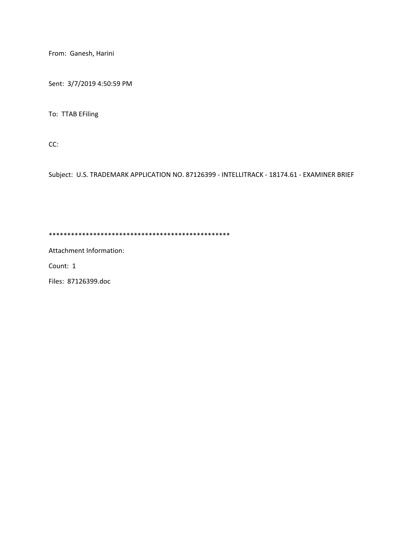From: Ganesh, Harini

Sent: 3/7/2019 4:50:59 PM

To: TTAB EFiling

CC:

Subject: U.S. TRADEMARK APPLICATION NO. 87126399 - INTELLITRACK - 18174.61 - EXAMINER BRIEF

\*\*\*\*\*\*\*\*\*\*\*\*\*\*\*\*\*\*\*\*\*\*\*\*\*\*\*\*\*\*\*\*\*\*\*\*\*\*\*\*\*\*\*\*\*\*\*\*\*

Attachment Information:

Count: 1

Files: 87126399.doc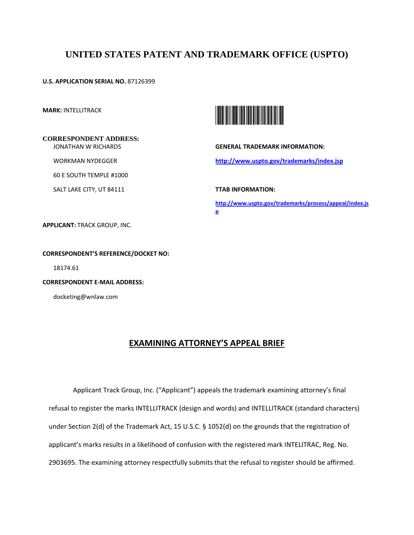# **UNITED STATES PATENT AND TRADEMARK OFFICE (USPTO)**

**U.S. APPLICATION SERIAL NO.** 87126399

**MARK:** INTELLITRACK

#### **CORRESPONDENT ADDRESS:** JONATHAN W RICHARDS

WORKMAN NYDEGGER

60 E SOUTH TEMPLE #1000

SALT LAKE CITY, UT 84111



**GENERAL TRADEMARK INFORMATION: http://www.uspto.gov/trademarks/index.jsp** 

**TTAB INFORMATION:** 

**http://www.uspto.gov/trademarks/process/appeal/index.js p** 

**APPLICANT:** TRACK GROUP, INC.

### **CORRESPONDENT'S REFERENCE/DOCKET NO:**

18174.61

**CORRESPONDENT E-MAIL ADDRESS:**

docketing@wnlaw.com

## **EXAMINING ATTORNEY'S APPEAL BRIEF**

Applicant Track Group, Inc. ("Applicant") appeals the trademark examining attorney's final refusal to register the marks INTELLITRACK (design and words) and INTELLITRACK (standard characters) under Section 2(d) of the Trademark Act, 15 U.S.C. § 1052(d) on the grounds that the registration of applicant's marks results in a likelihood of confusion with the registered mark INTELITRAC, Reg. No. 2903695. The examining attorney respectfully submits that the refusal to register should be affirmed.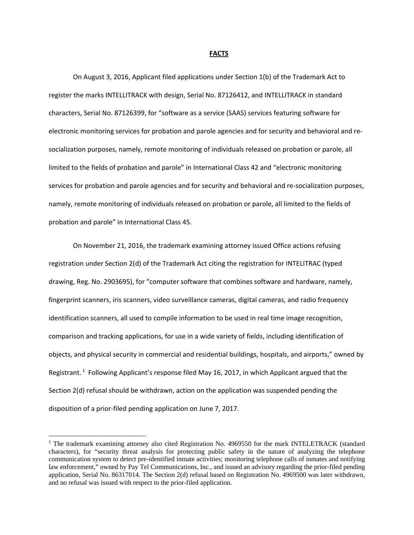#### **FACTS**

On August 3, 2016, Applicant filed applications under Section 1(b) of the Trademark Act to register the marks INTELLITRACK with design, Serial No. 87126412, and INTELLITRACK in standard characters, Serial No. 87126399, for "software as a service (SAAS) services featuring software for electronic monitoring services for probation and parole agencies and for security and behavioral and resocialization purposes, namely, remote monitoring of individuals released on probation or parole, all limited to the fields of probation and parole" in International Class 42 and "electronic monitoring services for probation and parole agencies and for security and behavioral and re-socialization purposes, namely, remote monitoring of individuals released on probation or parole, all limited to the fields of probation and parole" in International Class 45.

On November 21, 2016, the trademark examining attorney issued Office actions refusing registration under Section 2(d) of the Trademark Act citing the registration for INTELITRAC (typed drawing, Reg. No. 2903695), for "computer software that combines software and hardware, namely, fingerprint scanners, iris scanners, video surveillance cameras, digital cameras, and radio frequency identification scanners, all used to compile information to be used in real time image recognition, comparison and tracking applications, for use in a wide variety of fields, including identification of objects, and physical security in commercial and residential buildings, hospitals, and airports," owned by Registrant. <sup>1</sup> Following Applicant's response filed May 16, 2017, in which Applicant argued that the Section 2(d) refusal should be withdrawn, action on the application was suspended pending the disposition of a prior-filed pending application on June 7, 2017.

**.** 

<sup>&</sup>lt;sup>1</sup> The trademark examining attorney also cited Registration No. 4969550 for the mark INTELETRACK (standard characters), for "security threat analysis for protecting public safety in the nature of analyzing the telephone communication system to detect pre-identified inmate activities; monitoring telephone calls of inmates and notifying law enforcement," owned by Pay Tel Communications, Inc., and issued an advisory regarding the prior-filed pending application, Serial No. 86317014. The Section 2(d) refusal based on Registration No. 4969500 was later withdrawn, and no refusal was issued with respect to the prior-filed application.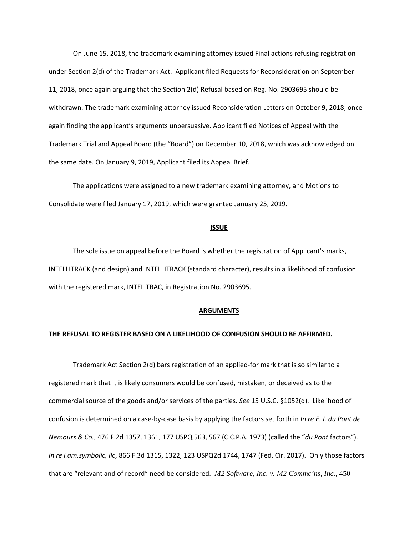On June 15, 2018, the trademark examining attorney issued Final actions refusing registration under Section 2(d) of the Trademark Act. Applicant filed Requests for Reconsideration on September 11, 2018, once again arguing that the Section 2(d) Refusal based on Reg. No. 2903695 should be withdrawn. The trademark examining attorney issued Reconsideration Letters on October 9, 2018, once again finding the applicant's arguments unpersuasive. Applicant filed Notices of Appeal with the Trademark Trial and Appeal Board (the "Board") on December 10, 2018, which was acknowledged on the same date. On January 9, 2019, Applicant filed its Appeal Brief.

The applications were assigned to a new trademark examining attorney, and Motions to Consolidate were filed January 17, 2019, which were granted January 25, 2019.

#### **ISSUE**

The sole issue on appeal before the Board is whether the registration of Applicant's marks, INTELLITRACK (and design) and INTELLITRACK (standard character), results in a likelihood of confusion with the registered mark, INTELITRAC, in Registration No. 2903695.

#### **ARGUMENTS**

### **THE REFUSAL TO REGISTER BASED ON A LIKELIHOOD OF CONFUSION SHOULD BE AFFIRMED.**

Trademark Act Section 2(d) bars registration of an applied-for mark that is so similar to a registered mark that it is likely consumers would be confused, mistaken, or deceived as to the commercial source of the goods and/or services of the parties. *See* 15 U.S.C. §1052(d). Likelihood of confusion is determined on a case-by-case basis by applying the factors set forth in *In re E. I. du Pont de Nemours & Co.*, 476 F.2d 1357, 1361, 177 USPQ 563, 567 (C.C.P.A. 1973) (called the "*du Pont* factors"). *In re i.am.symbolic, llc*, 866 F.3d 1315, 1322, 123 USPQ2d 1744, 1747 (Fed. Cir. 2017). Only those factors that are "relevant and of record" need be considered. *M2 Software, Inc. v. M2 Commc'ns, Inc.*, 450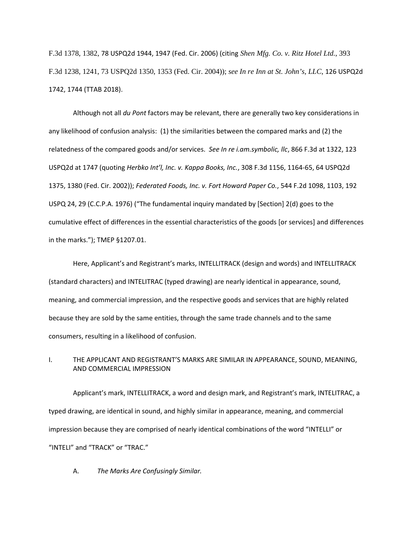F.3d 1378, 1382, 78 USPQ2d 1944, 1947 (Fed. Cir. 2006) (citing *Shen Mfg. Co. v. Ritz Hotel Ltd.*, 393 F.3d 1238, 1241, 73 USPQ2d 1350, 1353 (Fed. Cir. 2004)); *see In re Inn at St. John's, LLC*, 126 USPQ2d 1742, 1744 (TTAB 2018).

Although not all *du Pont* factors may be relevant, there are generally two key considerations in any likelihood of confusion analysis: (1) the similarities between the compared marks and (2) the relatedness of the compared goods and/or services. *See In re i.am.symbolic, llc*, 866 F.3d at 1322, 123 USPQ2d at 1747 (quoting *Herbko Int'l, Inc. v. Kappa Books, Inc.*, 308 F.3d 1156, 1164-65, 64 USPQ2d 1375, 1380 (Fed. Cir. 2002)); *Federated Foods, Inc. v. Fort Howard Paper Co.*, 544 F.2d 1098, 1103, 192 USPQ 24, 29 (C.C.P.A. 1976) ("The fundamental inquiry mandated by [Section] 2(d) goes to the cumulative effect of differences in the essential characteristics of the goods [or services] and differences in the marks."); TMEP §1207.01.

Here, Applicant's and Registrant's marks, INTELLITRACK (design and words) and INTELLITRACK (standard characters) and INTELITRAC (typed drawing) are nearly identical in appearance, sound, meaning, and commercial impression, and the respective goods and services that are highly related because they are sold by the same entities, through the same trade channels and to the same consumers, resulting in a likelihood of confusion.

### I. THE APPLICANT AND REGISTRANT'S MARKS ARE SIMILAR IN APPEARANCE, SOUND, MEANING, AND COMMERCIAL IMPRESSION

Applicant's mark, INTELLITRACK, a word and design mark, and Registrant's mark, INTELITRAC, a typed drawing, are identical in sound, and highly similar in appearance, meaning, and commercial impression because they are comprised of nearly identical combinations of the word "INTELLI" or "INTELI" and "TRACK" or "TRAC."

A. *The Marks Are Confusingly Similar.*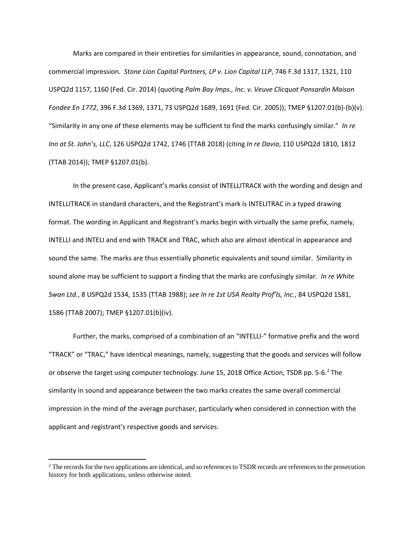Marks are compared in their entireties for similarities in appearance, sound, connotation, and commercial impression. *Stone Lion Capital Partners, LP v. Lion Capital LLP*, 746 F.3d 1317, 1321, 110 USPQ2d 1157, 1160 (Fed. Cir. 2014) (quoting *Palm Bay Imps., Inc. v. Veuve Clicquot Ponsardin Maison Fondee En 1772*, 396 F.3d 1369, 1371, 73 USPQ2d 1689, 1691 (Fed. Cir. 2005)); TMEP §1207.01(b)-(b)(v). "Similarity in any one of these elements may be sufficient to find the marks confusingly similar." *In re Inn at St. John's, LLC*, 126 USPQ2d 1742, 1746 (TTAB 2018) (citing *In re Davia*, 110 USPQ2d 1810, 1812 (TTAB 2014)); TMEP §1207.01(b).

In the present case, Applicant's marks consist of INTELLITRACK with the wording and design and INTELLITRACK in standard characters, and the Registrant's mark is INTELITRAC in a typed drawing format. The wording in Applicant and Registrant's marks begin with virtually the same prefix, namely, INTELLI and INTELI and end with TRACK and TRAC, which also are almost identical in appearance and sound the same. The marks are thus essentially phonetic equivalents and sound similar. Similarity in sound alone may be sufficient to support a finding that the marks are confusingly similar. *In re White Swan Ltd.*, 8 USPQ2d 1534, 1535 (TTAB 1988); *see In re 1st USA Realty Prof'ls, Inc.*, 84 USPQ2d 1581, 1586 (TTAB 2007); TMEP §1207.01(b)(iv).

Further, the marks, comprised of a combination of an "INTELLI-" formative prefix and the word "TRACK" or "TRAC," have identical meanings, namely, suggesting that the goods and services will follow or observe the target using computer technology. June 15, 2018 Office Action, TSDR pp. 5-6.<sup>2</sup> The similarity in sound and appearance between the two marks creates the same overall commercial impression in the mind of the average purchaser, particularly when considered in connection with the applicant and registrant's respective goods and services.

**.** 

 $<sup>2</sup>$  The records for the two applications are identical, and so references to TSDR records are references to the prosecution</sup> history for both applications, unless otherwise noted.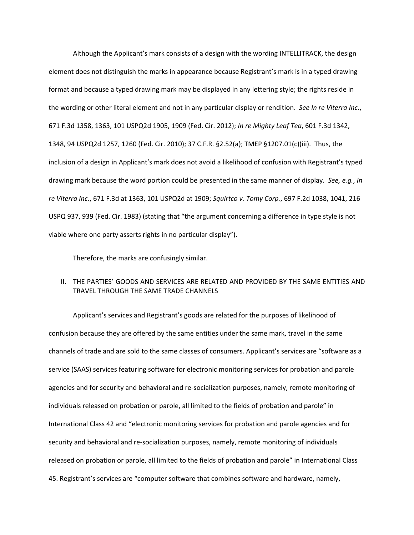Although the Applicant's mark consists of a design with the wording INTELLITRACK, the design element does not distinguish the marks in appearance because Registrant's mark is in a typed drawing format and because a typed drawing mark may be displayed in any lettering style; the rights reside in the wording or other literal element and not in any particular display or rendition. *See In re Viterra Inc.*, 671 F.3d 1358, 1363, 101 USPQ2d 1905, 1909 (Fed. Cir. 2012); *In re Mighty Leaf Tea*, 601 F.3d 1342, 1348, 94 USPQ2d 1257, 1260 (Fed. Cir. 2010); 37 C.F.R. §2.52(a); TMEP §1207.01(c)(iii). Thus, the inclusion of a design in Applicant's mark does not avoid a likelihood of confusion with Registrant's typed drawing mark because the word portion could be presented in the same manner of display. *See, e.g.*, *In re Viterra Inc.*, 671 F.3d at 1363, 101 USPQ2d at 1909; *Squirtco v. Tomy Corp.*, 697 F.2d 1038, 1041, 216 USPQ 937, 939 (Fed. Cir. 1983) (stating that "the argument concerning a difference in type style is not viable where one party asserts rights in no particular display").

Therefore, the marks are confusingly similar.

### II. THE PARTIES' GOODS AND SERVICES ARE RELATED AND PROVIDED BY THE SAME ENTITIES AND TRAVEL THROUGH THE SAME TRADE CHANNELS

Applicant's services and Registrant's goods are related for the purposes of likelihood of confusion because they are offered by the same entities under the same mark, travel in the same channels of trade and are sold to the same classes of consumers. Applicant's services are "software as a service (SAAS) services featuring software for electronic monitoring services for probation and parole agencies and for security and behavioral and re-socialization purposes, namely, remote monitoring of individuals released on probation or parole, all limited to the fields of probation and parole" in International Class 42 and "electronic monitoring services for probation and parole agencies and for security and behavioral and re-socialization purposes, namely, remote monitoring of individuals released on probation or parole, all limited to the fields of probation and parole" in International Class 45. Registrant's services are "computer software that combines software and hardware, namely,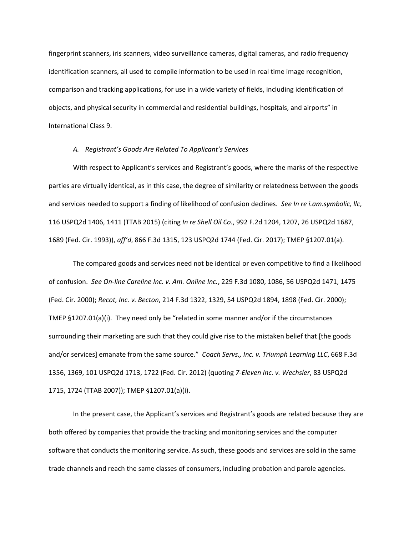fingerprint scanners, iris scanners, video surveillance cameras, digital cameras, and radio frequency identification scanners, all used to compile information to be used in real time image recognition, comparison and tracking applications, for use in a wide variety of fields, including identification of objects, and physical security in commercial and residential buildings, hospitals, and airports" in International Class 9.

#### *A. Registrant's Goods Are Related To Applicant's Services*

With respect to Applicant's services and Registrant's goods, where the marks of the respective parties are virtually identical, as in this case, the degree of similarity or relatedness between the goods and services needed to support a finding of likelihood of confusion declines. *See In re i.am.symbolic, llc*, 116 USPQ2d 1406, 1411 (TTAB 2015) (citing *In re Shell Oil Co.*, 992 F.2d 1204, 1207, 26 USPQ2d 1687, 1689 (Fed. Cir. 1993)), *aff'd*, 866 F.3d 1315, 123 USPQ2d 1744 (Fed. Cir. 2017); TMEP §1207.01(a).

The compared goods and services need not be identical or even competitive to find a likelihood of confusion. *See On-line Careline Inc. v. Am. Online Inc.*, 229 F.3d 1080, 1086, 56 USPQ2d 1471, 1475 (Fed. Cir. 2000); *Recot, Inc. v. Becton*, 214 F.3d 1322, 1329, 54 USPQ2d 1894, 1898 (Fed. Cir. 2000); TMEP §1207.01(a)(i). They need only be "related in some manner and/or if the circumstances surrounding their marketing are such that they could give rise to the mistaken belief that [the goods and/or services] emanate from the same source." *Coach Servs., Inc. v. Triumph Learning LLC*, 668 F.3d 1356, 1369, 101 USPQ2d 1713, 1722 (Fed. Cir. 2012) (quoting *7-Eleven Inc. v. Wechsler*, 83 USPQ2d 1715, 1724 (TTAB 2007)); TMEP §1207.01(a)(i).

In the present case, the Applicant's services and Registrant's goods are related because they are both offered by companies that provide the tracking and monitoring services and the computer software that conducts the monitoring service. As such, these goods and services are sold in the same trade channels and reach the same classes of consumers, including probation and parole agencies.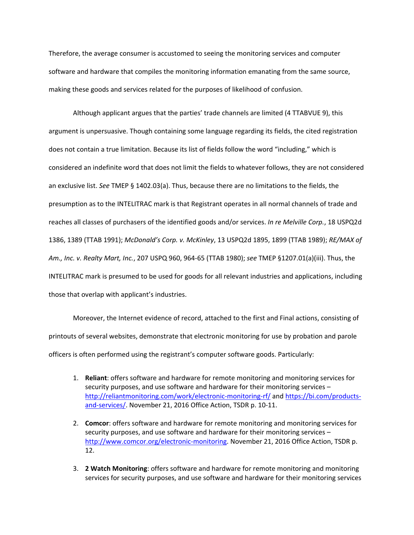Therefore, the average consumer is accustomed to seeing the monitoring services and computer software and hardware that compiles the monitoring information emanating from the same source, making these goods and services related for the purposes of likelihood of confusion.

Although applicant argues that the parties' trade channels are limited (4 TTABVUE 9), this argument is unpersuasive. Though containing some language regarding its fields, the cited registration does not contain a true limitation. Because its list of fields follow the word "including," which is considered an indefinite word that does not limit the fields to whatever follows, they are not considered an exclusive list. *See* TMEP § 1402.03(a). Thus, because there are no limitations to the fields, the presumption as to the INTELITRAC mark is that Registrant operates in all normal channels of trade and reaches all classes of purchasers of the identified goods and/or services. *In re Melville Corp.*, 18 USPQ2d 1386, 1389 (TTAB 1991); *McDonald's Corp. v. McKinley*, 13 USPQ2d 1895, 1899 (TTAB 1989); *RE/MAX of Am., Inc. v. Realty Mart, Inc.*, 207 USPQ 960, 964-65 (TTAB 1980); *see* TMEP §1207.01(a)(iii). Thus, the INTELITRAC mark is presumed to be used for goods for all relevant industries and applications, including those that overlap with applicant's industries.

Moreover, the Internet evidence of record, attached to the first and Final actions, consisting of printouts of several websites, demonstrate that electronic monitoring for use by probation and parole officers is often performed using the registrant's computer software goods. Particularly:

- 1. **Reliant**: offers software and hardware for remote monitoring and monitoring services for security purposes, and use software and hardware for their monitoring services – http://reliantmonitoring.com/work/electronic-monitoring-rf/ and https://bi.com/productsand-services/. November 21, 2016 Office Action, TSDR p. 10-11.
- 2. **Comcor**: offers software and hardware for remote monitoring and monitoring services for security purposes, and use software and hardware for their monitoring services – http://www.comcor.org/electronic-monitoring. November 21, 2016 Office Action, TSDR p. 12.
- 3. **2 Watch Monitoring**: offers software and hardware for remote monitoring and monitoring services for security purposes, and use software and hardware for their monitoring services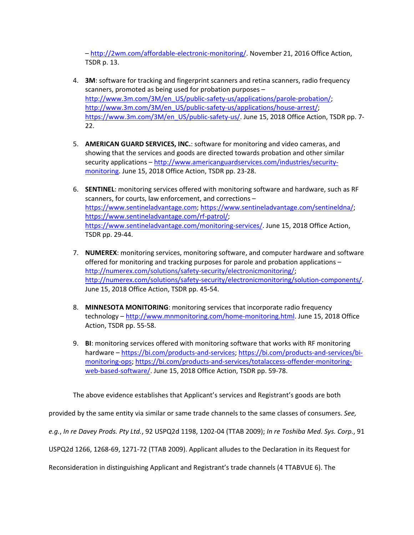– http://2wm.com/affordable-electronic-monitoring/. November 21, 2016 Office Action, TSDR p. 13.

- 4. **3M**: software for tracking and fingerprint scanners and retina scanners, radio frequency scanners, promoted as being used for probation purposes – http://www.3m.com/3M/en\_US/public-safety-us/applications/parole-probation/; http://www.3m.com/3M/en\_US/public-safety-us/applications/house-arrest/; https://www.3m.com/3M/en\_US/public-safety-us/. June 15, 2018 Office Action, TSDR pp. 7-22.
- 5. **AMERICAN GUARD SERVICES, INC.**: software for monitoring and video cameras, and showing that the services and goods are directed towards probation and other similar security applications – http://www.americanguardservices.com/industries/securitymonitoring. June 15, 2018 Office Action, TSDR pp. 23-28.
- 6. **SENTINEL**: monitoring services offered with monitoring software and hardware, such as RF scanners, for courts, law enforcement, and corrections – https://www.sentineladvantage.com; https://www.sentineladvantage.com/sentineldna/; https://www.sentineladvantage.com/rf-patrol/; https://www.sentineladvantage.com/monitoring-services/. June 15, 2018 Office Action, TSDR pp. 29-44.
- 7. **NUMEREX**: monitoring services, monitoring software, and computer hardware and software offered for monitoring and tracking purposes for parole and probation applications – http://numerex.com/solutions/safety-security/electronicmonitoring/; http://numerex.com/solutions/safety-security/electronicmonitoring/solution-components/. June 15, 2018 Office Action, TSDR pp. 45-54.
- 8. **MINNESOTA MONITORING**: monitoring services that incorporate radio frequency technology – http://www.mnmonitoring.com/home-monitoring.html. June 15, 2018 Office Action, TSDR pp. 55-58.
- 9. **BI**: monitoring services offered with monitoring software that works with RF monitoring hardware – https://bi.com/products-and-services; https://bi.com/products-and-services/bimonitoring-ops; https://bi.com/products-and-services/totalaccess-offender-monitoringweb-based-software/. June 15, 2018 Office Action, TSDR pp. 59-78.

The above evidence establishes that Applicant's services and Registrant's goods are both

provided by the same entity via similar or same trade channels to the same classes of consumers. *See,* 

*e.g.*, *In re Davey Prods. Pty Ltd.*, 92 USPQ2d 1198, 1202-04 (TTAB 2009); *In re Toshiba Med. Sys. Corp.*, 91

USPQ2d 1266, 1268-69, 1271-72 (TTAB 2009). Applicant alludes to the Declaration in its Request for

Reconsideration in distinguishing Applicant and Registrant's trade channels (4 TTABVUE 6). The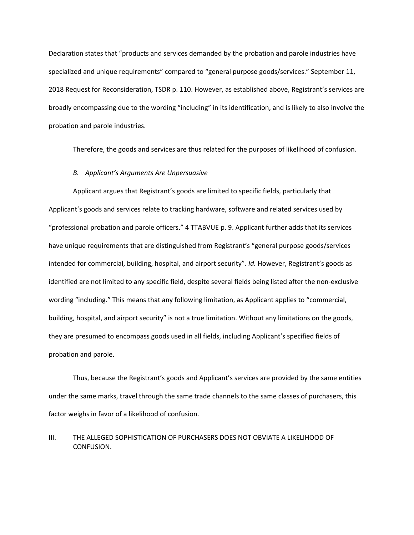Declaration states that "products and services demanded by the probation and parole industries have specialized and unique requirements" compared to "general purpose goods/services." September 11, 2018 Request for Reconsideration, TSDR p. 110. However, as established above, Registrant's services are broadly encompassing due to the wording "including" in its identification, and is likely to also involve the probation and parole industries.

Therefore, the goods and services are thus related for the purposes of likelihood of confusion.

#### *B. Applicant's Arguments Are Unpersuasive*

Applicant argues that Registrant's goods are limited to specific fields, particularly that Applicant's goods and services relate to tracking hardware, software and related services used by "professional probation and parole officers." 4 TTABVUE p. 9. Applicant further adds that its services have unique requirements that are distinguished from Registrant's "general purpose goods/services intended for commercial, building, hospital, and airport security". *Id.* However, Registrant's goods as identified are not limited to any specific field, despite several fields being listed after the non-exclusive wording "including." This means that any following limitation, as Applicant applies to "commercial, building, hospital, and airport security" is not a true limitation. Without any limitations on the goods, they are presumed to encompass goods used in all fields, including Applicant's specified fields of probation and parole.

Thus, because the Registrant's goods and Applicant's services are provided by the same entities under the same marks, travel through the same trade channels to the same classes of purchasers, this factor weighs in favor of a likelihood of confusion.

### III. THE ALLEGED SOPHISTICATION OF PURCHASERS DOES NOT OBVIATE A LIKELIHOOD OF CONFUSION.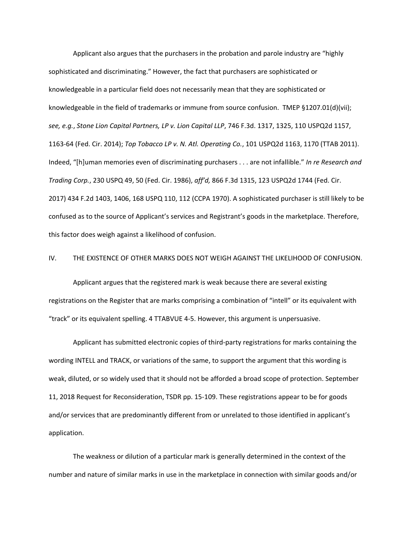Applicant also argues that the purchasers in the probation and parole industry are "highly sophisticated and discriminating." However, the fact that purchasers are sophisticated or knowledgeable in a particular field does not necessarily mean that they are sophisticated or knowledgeable in the field of trademarks or immune from source confusion. TMEP §1207.01(d)(vii); *see, e.g.*, *Stone Lion Capital Partners, LP v. Lion Capital LLP*, 746 F.3d. 1317, 1325, 110 USPQ2d 1157, 1163-64 (Fed. Cir. 2014); *Top Tobacco LP v. N. Atl. Operating Co.*, 101 USPQ2d 1163, 1170 (TTAB 2011). Indeed, "[h]uman memories even of discriminating purchasers . . . are not infallible." *In re Research and Trading Corp.*, 230 USPQ 49, 50 (Fed. Cir. 1986), *aff'd,* 866 F.3d 1315, 123 USPQ2d 1744 (Fed. Cir. 2017) 434 F.2d 1403, 1406, 168 USPQ 110, 112 (CCPA 1970). A sophisticated purchaser is still likely to be confused as to the source of Applicant's services and Registrant's goods in the marketplace. Therefore, this factor does weigh against a likelihood of confusion.

### IV. THE EXISTENCE OF OTHER MARKS DOES NOT WEIGH AGAINST THE LIKELIHOOD OF CONFUSION.

Applicant argues that the registered mark is weak because there are several existing registrations on the Register that are marks comprising a combination of "intell" or its equivalent with "track" or its equivalent spelling. 4 TTABVUE 4-5. However, this argument is unpersuasive.

Applicant has submitted electronic copies of third-party registrations for marks containing the wording INTELL and TRACK, or variations of the same, to support the argument that this wording is weak, diluted, or so widely used that it should not be afforded a broad scope of protection. September 11, 2018 Request for Reconsideration, TSDR pp. 15-109. These registrations appear to be for goods and/or services that are predominantly different from or unrelated to those identified in applicant's application.

The weakness or dilution of a particular mark is generally determined in the context of the number and nature of similar marks in use in the marketplace in connection with similar goods and/or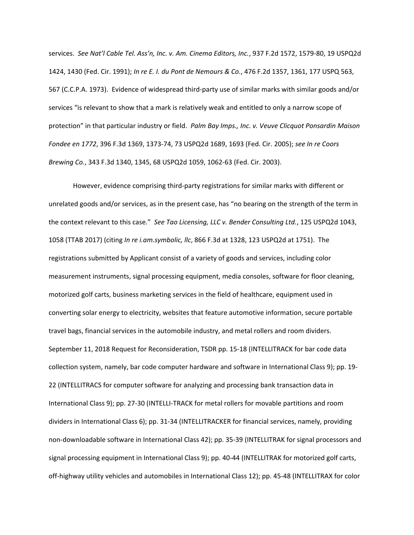services. *See Nat'l Cable Tel. Ass'n, Inc. v. Am. Cinema Editors, Inc.*, 937 F.2d 1572, 1579-80, 19 USPQ2d 1424, 1430 (Fed. Cir. 1991); *In re E. I. du Pont de Nemours & Co.*, 476 F.2d 1357, 1361, 177 USPQ 563, 567 (C.C.P.A. 1973). Evidence of widespread third-party use of similar marks with similar goods and/or services "is relevant to show that a mark is relatively weak and entitled to only a narrow scope of protection" in that particular industry or field. *Palm Bay Imps., Inc. v. Veuve Clicquot Ponsardin Maison Fondee en 1772*, 396 F.3d 1369, 1373-74, 73 USPQ2d 1689, 1693 (Fed. Cir. 2005); *see In re Coors Brewing Co.*, 343 F.3d 1340, 1345, 68 USPQ2d 1059, 1062-63 (Fed. Cir. 2003).

However, evidence comprising third-party registrations for similar marks with different or unrelated goods and/or services, as in the present case, has "no bearing on the strength of the term in the context relevant to this case." *See Tao Licensing, LLC v. Bender Consulting Ltd.*, 125 USPQ2d 1043, 1058 (TTAB 2017) (citing *In re i.am.symbolic, llc*, 866 F.3d at 1328, 123 USPQ2d at 1751). The registrations submitted by Applicant consist of a variety of goods and services, including color measurement instruments, signal processing equipment, media consoles, software for floor cleaning, motorized golf carts, business marketing services in the field of healthcare, equipment used in converting solar energy to electricity, websites that feature automotive information, secure portable travel bags, financial services in the automobile industry, and metal rollers and room dividers. September 11, 2018 Request for Reconsideration, TSDR pp. 15-18 (INTELLITRACK for bar code data collection system, namely, bar code computer hardware and software in International Class 9); pp. 19- 22 (INTELLITRACS for computer software for analyzing and processing bank transaction data in International Class 9); pp. 27-30 (INTELLI-TRACK for metal rollers for movable partitions and room dividers in International Class 6); pp. 31-34 (INTELLITRACKER for financial services, namely, providing non-downloadable software in International Class 42); pp. 35-39 (INTELLITRAK for signal processors and signal processing equipment in International Class 9); pp. 40-44 (INTELLITRAK for motorized golf carts, off-highway utility vehicles and automobiles in International Class 12); pp. 45-48 (INTELLITRAX for color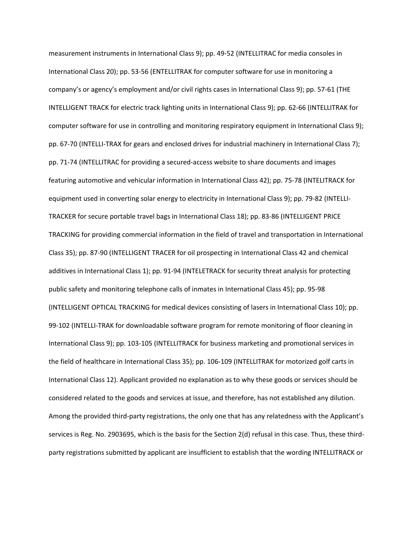measurement instruments in International Class 9); pp. 49-52 (INTELLITRAC for media consoles in International Class 20); pp. 53-56 (ENTELLITRAK for computer software for use in monitoring a company's or agency's employment and/or civil rights cases in International Class 9); pp. 57-61 (THE INTELLIGENT TRACK for electric track lighting units in International Class 9); pp. 62-66 (INTELLITRAK for computer software for use in controlling and monitoring respiratory equipment in International Class 9); pp. 67-70 (INTELLI-TRAX for gears and enclosed drives for industrial machinery in International Class 7); pp. 71-74 (INTELLITRAC for providing a secured-access website to share documents and images featuring automotive and vehicular information in International Class 42); pp. 75-78 (INTELITRACK for equipment used in converting solar energy to electricity in International Class 9); pp. 79-82 (INTELLI-TRACKER for secure portable travel bags in International Class 18); pp. 83-86 (INTELLIGENT PRICE TRACKING for providing commercial information in the field of travel and transportation in International Class 35); pp. 87-90 (INTELLIGENT TRACER for oil prospecting in International Class 42 and chemical additives in International Class 1); pp. 91-94 (INTELETRACK for security threat analysis for protecting public safety and monitoring telephone calls of inmates in International Class 45); pp. 95-98 (INTELLIGENT OPTICAL TRACKING for medical devices consisting of lasers in International Class 10); pp. 99-102 (INTELLI-TRAK for downloadable software program for remote monitoring of floor cleaning in International Class 9); pp. 103-105 (INTELLITRACK for business marketing and promotional services in the field of healthcare in International Class 35); pp. 106-109 (INTELLITRAK for motorized golf carts in International Class 12). Applicant provided no explanation as to why these goods or services should be considered related to the goods and services at issue, and therefore, has not established any dilution. Among the provided third-party registrations, the only one that has any relatedness with the Applicant's services is Reg. No. 2903695, which is the basis for the Section 2(d) refusal in this case. Thus, these thirdparty registrations submitted by applicant are insufficient to establish that the wording INTELLITRACK or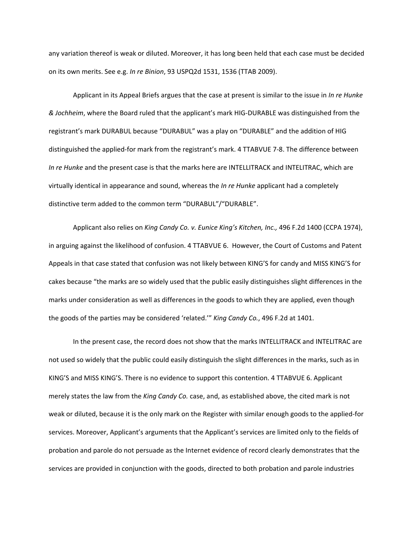any variation thereof is weak or diluted. Moreover, it has long been held that each case must be decided on its own merits. See e.g. *In re Binion*, 93 USPQ2d 1531, 1536 (TTAB 2009).

Applicant in its Appeal Briefs argues that the case at present is similar to the issue in *In re Hunke & Jochheim*, where the Board ruled that the applicant's mark HIG-DURABLE was distinguished from the registrant's mark DURABUL because "DURABUL" was a play on "DURABLE" and the addition of HIG distinguished the applied-for mark from the registrant's mark. 4 TTABVUE 7-8. The difference between *In re Hunke* and the present case is that the marks here are INTELLITRACK and INTELITRAC, which are virtually identical in appearance and sound, whereas the *In re Hunke* applicant had a completely distinctive term added to the common term "DURABUL"/"DURABLE".

Applicant also relies on *King Candy Co. v. Eunice King's Kitchen, Inc.,* 496 F.2d 1400 (CCPA 1974), in arguing against the likelihood of confusion. 4 TTABVUE 6. However, the Court of Customs and Patent Appeals in that case stated that confusion was not likely between KING'S for candy and MISS KING'S for cakes because "the marks are so widely used that the public easily distinguishes slight differences in the marks under consideration as well as differences in the goods to which they are applied, even though the goods of the parties may be considered 'related.'" *King Candy Co.*, 496 F.2d at 1401.

In the present case, the record does not show that the marks INTELLITRACK and INTELITRAC are not used so widely that the public could easily distinguish the slight differences in the marks, such as in KING'S and MISS KING'S. There is no evidence to support this contention. 4 TTABVUE 6. Applicant merely states the law from the *King Candy Co.* case, and, as established above, the cited mark is not weak or diluted, because it is the only mark on the Register with similar enough goods to the applied-for services. Moreover, Applicant's arguments that the Applicant's services are limited only to the fields of probation and parole do not persuade as the Internet evidence of record clearly demonstrates that the services are provided in conjunction with the goods, directed to both probation and parole industries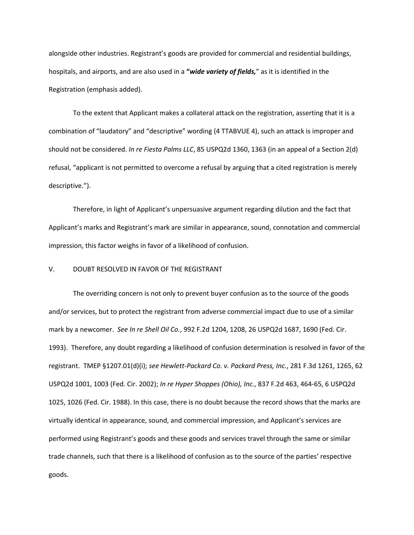alongside other industries. Registrant's goods are provided for commercial and residential buildings, hospitals, and airports, and are also used in a **"***wide variety of fields,*" as it is identified in the Registration (emphasis added).

To the extent that Applicant makes a collateral attack on the registration, asserting that it is a combination of "laudatory" and "descriptive" wording (4 TTABVUE 4), such an attack is improper and should not be considered. *In re Fiesta Palms LLC*, 85 USPQ2d 1360, 1363 (in an appeal of a Section 2(d) refusal, "applicant is not permitted to overcome a refusal by arguing that a cited registration is merely descriptive.").

Therefore, in light of Applicant's unpersuasive argument regarding dilution and the fact that Applicant's marks and Registrant's mark are similar in appearance, sound, connotation and commercial impression, this factor weighs in favor of a likelihood of confusion.

#### V. DOUBT RESOLVED IN FAVOR OF THE REGISTRANT

The overriding concern is not only to prevent buyer confusion as to the source of the goods and/or services, but to protect the registrant from adverse commercial impact due to use of a similar mark by a newcomer. *See In re Shell Oil Co.*, 992 F.2d 1204, 1208, 26 USPQ2d 1687, 1690 (Fed. Cir. 1993). Therefore, any doubt regarding a likelihood of confusion determination is resolved in favor of the registrant. TMEP §1207.01(d)(i); *see Hewlett-Packard Co. v. Packard Press, Inc.*, 281 F.3d 1261, 1265, 62 USPQ2d 1001, 1003 (Fed. Cir. 2002); *In re Hyper Shoppes (Ohio), Inc.*, 837 F.2d 463, 464-65, 6 USPQ2d 1025, 1026 (Fed. Cir. 1988). In this case, there is no doubt because the record shows that the marks are virtually identical in appearance, sound, and commercial impression, and Applicant's services are performed using Registrant's goods and these goods and services travel through the same or similar trade channels, such that there is a likelihood of confusion as to the source of the parties' respective goods.